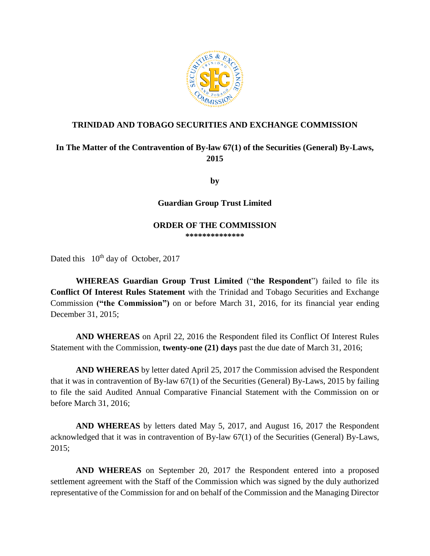

### **TRINIDAD AND TOBAGO SECURITIES AND EXCHANGE COMMISSION**

# **In The Matter of the Contravention of By-law 67(1) of the Securities (General) By-Laws, 2015**

**by**

**Guardian Group Trust Limited**

#### **ORDER OF THE COMMISSION \*\*\*\*\*\*\*\*\*\*\*\*\*\***

Dated this  $10^{th}$  day of October, 2017

**WHEREAS Guardian Group Trust Limited** ("**the Respondent**") failed to file its **Conflict Of Interest Rules Statement** with the Trinidad and Tobago Securities and Exchange Commission **("the Commission")** on or before March 31, 2016, for its financial year ending December 31, 2015;

**AND WHEREAS** on April 22, 2016 the Respondent filed its Conflict Of Interest Rules Statement with the Commission, **twenty-one (21) days** past the due date of March 31, 2016;

**AND WHEREAS** by letter dated April 25, 2017 the Commission advised the Respondent that it was in contravention of By-law 67(1) of the Securities (General) By-Laws, 2015 by failing to file the said Audited Annual Comparative Financial Statement with the Commission on or before March 31, 2016;

**AND WHEREAS** by letters dated May 5, 2017, and August 16, 2017 the Respondent acknowledged that it was in contravention of By-law 67(1) of the Securities (General) By-Laws, 2015;

**AND WHEREAS** on September 20, 2017 the Respondent entered into a proposed settlement agreement with the Staff of the Commission which was signed by the duly authorized representative of the Commission for and on behalf of the Commission and the Managing Director